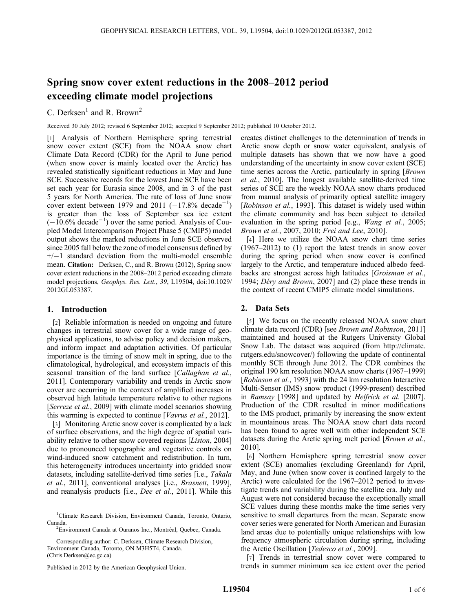# Spring snow cover extent reductions in the 2008–2012 period exceeding climate model projections

C. Derksen<sup>1</sup> and R. Brown<sup>2</sup>

Received 30 July 2012; revised 6 September 2012; accepted 9 September 2012; published 10 October 2012.

[1] Analysis of Northern Hemisphere spring terrestrial snow cover extent (SCE) from the NOAA snow chart Climate Data Record (CDR) for the April to June period (when snow cover is mainly located over the Arctic) has revealed statistically significant reductions in May and June SCE. Successive records for the lowest June SCE have been set each year for Eurasia since 2008, and in 3 of the past 5 years for North America. The rate of loss of June snow cover extent between 1979 and 2011  $(-17.8\% \text{ decade}^{-1})$ is greater than the loss of September sea ice extent  $(-10.6\% \text{ decade}^{-1})$  over the same period. Analysis of Coupled Model Intercomparison Project Phase 5 (CMIP5) model output shows the marked reductions in June SCE observed since 2005 fall below the zone of model consensus defined by  $+/-1$  standard deviation from the multi-model ensemble mean. Citation: Derksen, C., and R. Brown (2012), Spring snow cover extent reductions in the 2008–2012 period exceeding climate model projections, Geophys. Res. Lett., 39, L19504, doi:10.1029/ 2012GL053387.

# 1. Introduction

[2] Reliable information is needed on ongoing and future changes in terrestrial snow cover for a wide range of geophysical applications, to advise policy and decision makers, and inform impact and adaptation activities. Of particular importance is the timing of snow melt in spring, due to the climatological, hydrological, and ecosystem impacts of this seasonal transition of the land surface [Callaghan et al., 2011]. Contemporary variability and trends in Arctic snow cover are occurring in the context of amplified increases in observed high latitude temperature relative to other regions [Serreze et al., 2009] with climate model scenarios showing this warming is expected to continue [Vavrus et al., 2012].

[3] Monitoring Arctic snow cover is complicated by a lack of surface observations, and the high degree of spatial variability relative to other snow covered regions [Liston, 2004] due to pronounced topographic and vegetative controls on wind-induced snow catchment and redistribution. In turn, this heterogeneity introduces uncertainty into gridded snow datasets, including satellite-derived time series [i.e., Takala et al., 2011], conventional analyses [i.e., Brasnett, 1999], and reanalysis products [i.e., Dee et al., 2011]. While this

Corresponding author: C. Derksen, Climate Research Division, Environment Canada, Toronto, ON M3H5T4, Canada. (Chris.Derksen@ec.gc.ca)

creates distinct challenges to the determination of trends in Arctic snow depth or snow water equivalent, analysis of multiple datasets has shown that we now have a good understanding of the uncertainty in snow cover extent (SCE) time series across the Arctic, particularly in spring [Brown] et al., 2010]. The longest available satellite-derived time series of SCE are the weekly NOAA snow charts produced from manual analysis of primarily optical satellite imagery [Robinson et al., 1993]. This dataset is widely used within the climate community and has been subject to detailed evaluation in the spring period [e.g., *Wang et al.*, 2005; Brown et al., 2007, 2010; Frei and Lee, 2010].

[4] Here we utilize the NOAA snow chart time series (1967–2012) to (1) report the latest trends in snow cover during the spring period when snow cover is confined largely to the Arctic, and temperature induced albedo feedbacks are strongest across high latitudes [Groisman et al., 1994; Déry and Brown, 2007] and (2) place these trends in the context of recent CMIP5 climate model simulations.

# 2. Data Sets

[5] We focus on the recently released NOAA snow chart climate data record (CDR) [see Brown and Robinson, 2011] maintained and housed at the Rutgers University Global Snow Lab. The dataset was acquired (from http://climate. rutgers.edu/snowcover/) following the update of continental monthly SCE through June 2012. The CDR combines the original 190 km resolution NOAA snow charts (1967–1999) [Robinson et al., 1993] with the 24 km resolution Interactive Multi-Sensor (IMS) snow product (1999-present) described in Ramsay [1998] and updated by Helfrich et al. [2007]. Production of the CDR resulted in minor modifications to the IMS product, primarily by increasing the snow extent in mountainous areas. The NOAA snow chart data record has been found to agree well with other independent SCE datasets during the Arctic spring melt period [Brown et al., 2010].

[6] Northern Hemisphere spring terrestrial snow cover extent (SCE) anomalies (excluding Greenland) for April, May, and June (when snow cover is confined largely to the Arctic) were calculated for the 1967–2012 period to investigate trends and variability during the satellite era. July and August were not considered because the exceptionally small SCE values during these months make the time series very sensitive to small departures from the mean. Separate snow cover series were generated for North American and Eurasian land areas due to potentially unique relationships with low frequency atmospheric circulation during spring, including the Arctic Oscillation [Tedesco et al., 2009].

[7] Trends in terrestrial snow cover were compared to trends in summer minimum sea ice extent over the period

<sup>&</sup>lt;sup>1</sup>Climate Research Division, Environment Canada, Toronto, Ontario, Canada.

<sup>&</sup>lt;sup>2</sup>Environment Canada at Ouranos Inc., Montréal, Quebec, Canada.

Published in 2012 by the American Geophysical Union.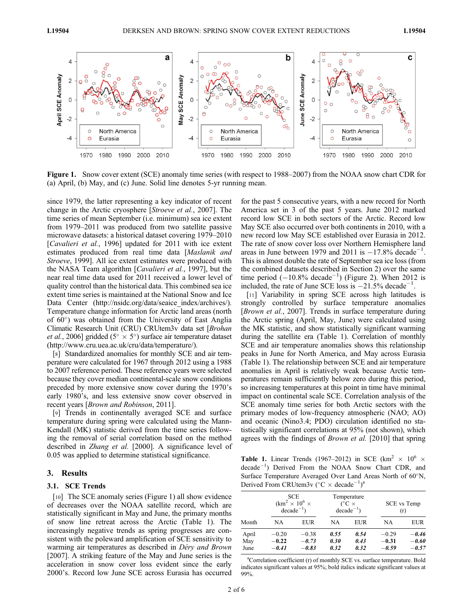

Figure 1. Snow cover extent (SCE) anomaly time series (with respect to 1988–2007) from the NOAA snow chart CDR for (a) April, (b) May, and (c) June. Solid line denotes 5-yr running mean.

since 1979, the latter representing a key indicator of recent change in the Arctic cryosphere [Stroeve et al., 2007]. The time series of mean September (i.e. minimum) sea ice extent from 1979–2011 was produced from two satellite passive microwave datasets: a historical dataset covering 1979–2010 [*Cavalieri et al.*, 1996] updated for 2011 with ice extent estimates produced from real time data [Maslanik and Stroeve, 1999]. All ice extent estimates were produced with the NASA Team algorithm [Cavalieri et al., 1997], but the near real time data used for 2011 received a lower level of quality control than the historical data. This combined sea ice extent time series is maintained at the National Snow and Ice Data Center (http://nsidc.org/data/seaice\_index/archives/). Temperature change information for Arctic land areas (north of  $60^{\circ}$ ) was obtained from the University of East Anglia Climatic Research Unit (CRU) CRUtem3v data set [Brohan *et al.*, 2006] gridded ( $5^\circ \times 5^\circ$ ) surface air temperature dataset (http://www.cru.uea.ac.uk/cru/data/temperature/).

[8] Standardized anomalies for monthly SCE and air temperature were calculated for 1967 through 2012 using a 1988 to 2007 reference period. These reference years were selected because they cover median continental-scale snow conditions preceded by more extensive snow cover during the 1970's early 1980's, and less extensive snow cover observed in recent years [Brown and Robinson, 2011].

[9] Trends in continentally averaged SCE and surface temperature during spring were calculated using the Mann-Kendall (MK) statistic derived from the time series following the removal of serial correlation based on the method described in *Zhang et al.* [2000]. A significance level of 0.05 was applied to determine statistical significance.

#### 3. Results

#### 3.1. SCE Trends

[10] The SCE anomaly series (Figure 1) all show evidence of decreases over the NOAA satellite record, which are statistically significant in May and June, the primary months of snow line retreat across the Arctic (Table 1). The increasingly negative trends as spring progresses are consistent with the poleward amplification of SCE sensitivity to warming air temperatures as described in Déry and Brown [2007]. A striking feature of the May and June series is the acceleration in snow cover loss evident since the early 2000's. Record low June SCE across Eurasia has occurred

for the past 5 consecutive years, with a new record for North America set in 3 of the past 5 years. June 2012 marked record low SCE in both sectors of the Arctic. Record low May SCE also occurred over both continents in 2010, with a new record low May SCE established over Eurasia in 2012. The rate of snow cover loss over Northern Hemisphere land areas in June between 1979 and 2011 is  $-17.8\%$  decade<sup>-1</sup> . This is almost double the rate of September sea ice loss (from the combined datasets described in Section 2) over the same time period  $(-10.8\% \text{ decade}^{-1})$  (Figure 2). When 2012 is included, the rate of June SCE loss is  $-21.5\%$  decade<sup>-1</sup>.

[11] Variability in spring SCE across high latitudes is strongly controlled by surface temperature anomalies [Brown et al., 2007]. Trends in surface temperature during the Arctic spring (April, May, June) were calculated using the MK statistic, and show statistically significant warming during the satellite era (Table 1). Correlation of monthly SCE and air temperature anomalies shows this relationship peaks in June for North America, and May across Eurasia (Table 1). The relationship between SCE and air temperature anomalies in April is relatively weak because Arctic temperatures remain sufficiently below zero during this period, so increasing temperatures at this point in time have minimal impact on continental scale SCE. Correlation analysis of the SCE anomaly time series for both Arctic sectors with the primary modes of low-frequency atmospheric (NAO; AO) and oceanic (Nino3.4; PDO) circulation identified no statistically significant correlations at 95% (not shown), which agrees with the findings of Brown et al. [2010] that spring

Table 1. Linear Trends (1967–2012) in SCE (km<sup>2</sup>  $\times$  10<sup>6</sup>  $\times$  $\text{decade}^{-1}$ ) Derived From the NOAA Snow Chart CDR, and Surface Temperature Averaged Over Land Areas North of  $60^{\circ}$ N, Derived From CRUtem3v ( $\rm{^{\circ}C} \times decade^{-1})^a$ 

|                      | <b>SCE</b><br>$(km^2 \times 10^6 \times$<br>$de\text{c}$ decade <sup>-1</sup> ) |                               |                      | Temperature<br>$C \times$<br>$de\text{c}$ decade <sup><math>-1</math></sup> ) | SCE vs Temp<br>(r)            |                               |
|----------------------|---------------------------------------------------------------------------------|-------------------------------|----------------------|-------------------------------------------------------------------------------|-------------------------------|-------------------------------|
| Month                | NA                                                                              | EUR                           | NA                   | EUR                                                                           | NA                            | EUR                           |
| April<br>May<br>June | $-0.20$<br>$-0.22$<br>$-0.41$                                                   | $-0.38$<br>$-0.73$<br>$-0.83$ | 0.55<br>0.30<br>0.32 | 0.54<br>0.43<br>0.32                                                          | $-0.29$<br>$-0.31$<br>$-0.59$ | $-0.46$<br>$-0.60$<br>$-0.57$ |

<sup>a</sup>Correlation coefficient (r) of monthly SCE vs. surface temperature. Bold indicates significant values at 95%; bold italics indicate significant values at 99%.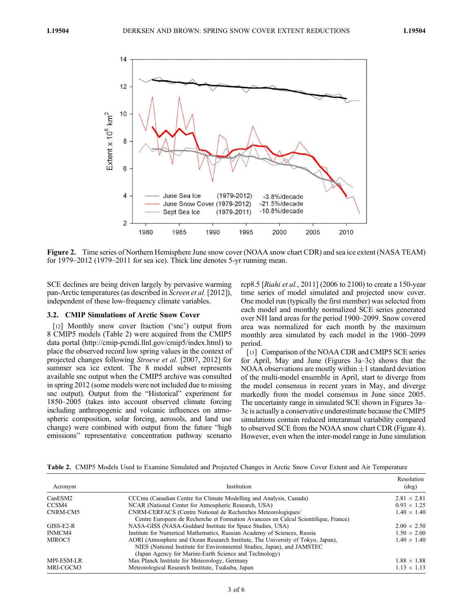

Figure 2. Time series of Northern Hemisphere June snow cover (NOAA snow chart CDR) and sea ice extent (NASA TEAM) for 1979–2012 (1979–2011 for sea ice). Thick line denotes 5-yr running mean.

SCE declines are being driven largely by pervasive warming pan-Arctic temperatures (as described in Screen et al. [2012]), independent of these low-frequency climate variables.

#### 3.2. CMIP Simulations of Arctic Snow Cover

[12] Monthly snow cover fraction ('snc') output from 8 CMIP5 models (Table 2) were acquired from the CMIP5 data portal (http://cmip-pcmdi.llnl.gov/cmip5/index.html) to place the observed record low spring values in the context of projected changes following Stroeve et al. [2007, 2012] for summer sea ice extent. The 8 model subset represents available snc output when the CMIP5 archive was consulted in spring 2012 (some models were not included due to missing snc output). Output from the "Historical" experiment for 1850–2005 (takes into account observed climate forcing including anthropogenic and volcanic influences on atmospheric composition, solar forcing, aerosols, and land use change) were combined with output from the future "high emissions" representative concentration pathway scenario

rcp8.5 [Riahi et al., 2011] (2006 to 2100) to create a 150-year time series of model simulated and projected snow cover. One model run (typically the first member) was selected from each model and monthly normalized SCE series generated over NH land areas for the period 1900–2099. Snow covered area was normalized for each month by the maximum monthly area simulated by each model in the 1900–2099 period.

[13] Comparison of the NOAA CDR and CMIP5 SCE series for April, May and June (Figures 3a–3c) shows that the NOAA observations are mostly within  $\pm 1$  standard deviation of the multi-model ensemble in April, start to diverge from the model consensus in recent years in May, and diverge markedly from the model consensus in June since 2005. The uncertainty range in simulated SCE shown in Figures 3a– 3c is actually a conservative underestimate because the CMIP5 simulations contain reduced interannual variability compared to observed SCE from the NOAA snow chart CDR (Figure 4). However, even when the inter-model range in June simulation

|  |  |  |  |  |  |  | Table 2. CMIP5 Models Used to Examine Simulated and Projected Changes in Arctic Snow Cover Extent and Air Temperature |  |
|--|--|--|--|--|--|--|-----------------------------------------------------------------------------------------------------------------------|--|
|--|--|--|--|--|--|--|-----------------------------------------------------------------------------------------------------------------------|--|

| Acronym     | Institution                                                                                                                                                                                                          | Resolution<br>$(\text{deg})$ |
|-------------|----------------------------------------------------------------------------------------------------------------------------------------------------------------------------------------------------------------------|------------------------------|
| CanESM2     | CCCma (Canadian Centre for Climate Modelling and Analysis, Canada)                                                                                                                                                   | $2.81 \times 2.81$           |
| CCSM4       | NCAR (National Center for Atmospheric Research, USA)                                                                                                                                                                 | $0.93 \times 1.25$           |
| CNRM-CM5    | CNRM-CERFACS (Centre National de Recherches Meteorologiques/<br>Centre Europeen de Recherche et Formation Avancees en Calcul Scientifique, France)                                                                   | $1.40 \times 1.40$           |
| $GISS-E2-R$ | NASA-GISS (NASA-Goddard Institute for Space Studies, USA)                                                                                                                                                            | $2.00 \times 2.50$           |
| INMCM4      | Institute for Numerical Mathematics, Russian Academy of Sciences, Russia                                                                                                                                             | $1.50 \times 2.00$           |
| MIROC5      | AORI (Atmosphere and Ocean Research Institute, The University of Tokyo, Japan),<br>NIES (National Institute for Environmental Studies, Japan), and JAMSTEC<br>(Japan Agency for Marine-Earth Science and Technology) | $1.40 \times 1.40$           |
| MPI-ESM-LR  | Max Planck Institute for Meteorology, Germany                                                                                                                                                                        | $1.88 \times 1.88$           |
| MRI-CGCM3   | Meteorological Research Institute, Tsukuba, Japan                                                                                                                                                                    | $1.13 \times 1.13$           |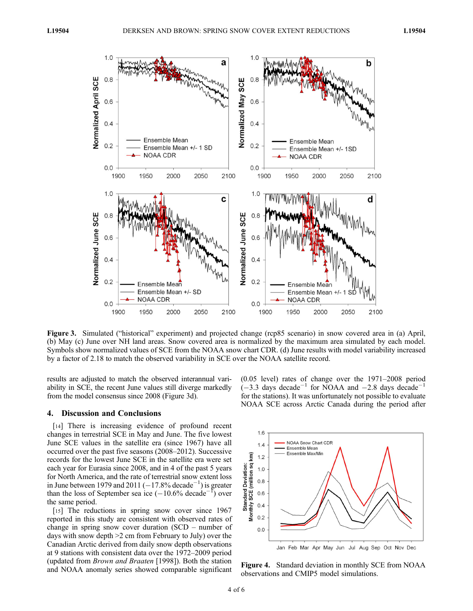

Figure 3. Simulated ("historical" experiment) and projected change (rcp85 scenario) in snow covered area in (a) April, (b) May (c) June over NH land areas. Snow covered area is normalized by the maximum area simulated by each model. Symbols show normalized values of SCE from the NOAA snow chart CDR. (d) June results with model variability increased by a factor of 2.18 to match the observed variability in SCE over the NOAA satellite record.

results are adjusted to match the observed interannual variability in SCE, the recent June values still diverge markedly from the model consensus since 2008 (Figure 3d).

## 4. Discussion and Conclusions

[14] There is increasing evidence of profound recent changes in terrestrial SCE in May and June. The five lowest June SCE values in the satellite era (since 1967) have all occurred over the past five seasons (2008–2012). Successive records for the lowest June SCE in the satellite era were set each year for Eurasia since 2008, and in 4 of the past 5 years for North America, and the rate of terrestrial snow extent loss in June between 1979 and 2011  $(-17.8\% \text{ decade}^{-1})$  is greater than the loss of September sea ice  $(-10.6\% \text{ decade}^{-1})$  $\left( \begin{array}{c} 1 \\ 1 \end{array} \right)$  over the same period.

[15] The reductions in spring snow cover since 1967 reported in this study are consistent with observed rates of change in spring snow cover duration (SCD – number of days with snow depth >2 cm from February to July) over the Canadian Arctic derived from daily snow depth observations at 9 stations with consistent data over the 1972–2009 period (updated from Brown and Braaten [1998]). Both the station and NOAA anomaly series showed comparable significant

(0.05 level) rates of change over the 1971–2008 period  $(-3.3 \text{ days} \text{ decade}^{-1}$  for NOAA and  $-2.8 \text{ days} \text{ decade}^{-1}$ for the stations). It was unfortunately not possible to evaluate NOAA SCE across Arctic Canada during the period after



Figure 4. Standard deviation in monthly SCE from NOAA observations and CMIP5 model simulations.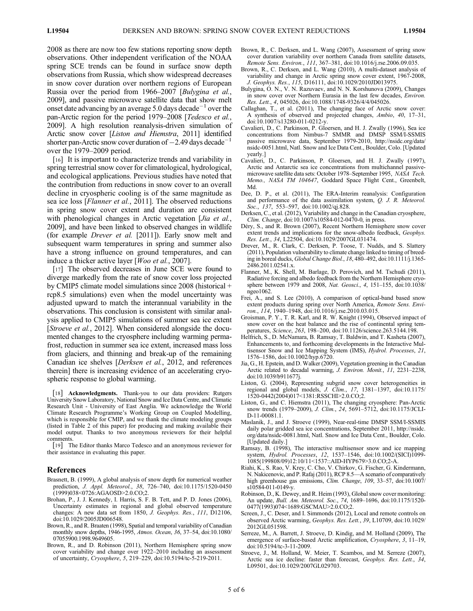2008 as there are now too few stations reporting snow depth observations. Other independent verification of the NOAA spring SCE trends can be found in surface snow depth observations from Russia, which show widespread decreases in snow cover duration over northern regions of European Russia over the period from 1966–2007 [Bulygina et al., 2009], and passive microwave satellite data that show melt onset date advancing by an average 5.0 days decade<sup>-1</sup> over the pan-Arctic region for the period 1979–2008 [Tedesco et al., 2009]. A high resolution reanalysis-driven simulation of Arctic snow cover [Liston and Hiemstra, 2011] identified shorter pan-Arctic snow cover duration of  $-2.49$  days decade<sup>-</sup> over the 1979–2009 period.

[16] It is important to characterize trends and variability in spring terrestrial snow cover for climatological, hydrological, and ecological applications. Previous studies have noted that the contribution from reductions in snow cover to an overall decline in cryospheric cooling is of the same magnitude as sea ice loss [Flanner et al., 2011]. The observed reductions in spring snow cover extent and duration are consistent with phenological changes in Arctic vegetation [*Jia et al.*, 2009], and have been linked to observed changes in wildlife (for example Drever et al. [2011]). Early snow melt and subsequent warm temperatures in spring and summer also have a strong influence on ground temperatures, and can induce a thicker active layer [Woo et al., 2007].

[17] The observed decreases in June SCE were found to diverge markedly from the rate of snow cover loss projected by CMIP5 climate model simulations since 2008 (historical + rcp8.5 simulations) even when the model uncertainty was adjusted upward to match the interannual variability in the observations. This conclusion is consistent with similar analysis applied to CMIP5 simulations of summer sea ice extent [Stroeve et al., 2012]. When considered alongside the documented changes to the cryosphere including warming permafrost, reduction in summer sea ice extent, increased mass loss from glaciers, and thinning and break-up of the remaining Canadian ice shelves [Derksen et al., 2012, and references therein] there is increasing evidence of an accelerating cryospheric response to global warming.

[18] **Acknowledgments.** Thank-you to our data providers: Rutgers University Snow Laboratory, National Snow and Ice Data Centre, and Climatic Research Unit - University of East Anglia. We acknowledge the World Climate Research Programme's Working Group on Coupled Modelling, which is responsible for CMIP, and we thank the climate modeling groups (listed in Table 2 of this paper) for producing and making available their model output. Thanks to two anonymous reviewers for their helpful comments.

[19] The Editor thanks Marco Tedesco and an anonymous reviewer for their assistance in evaluating this paper.

## References

- Brasnett, B. (1999), A global analysis of snow depth for numerical weather prediction, J. Appl. Meteorol., 38, 726–740, doi:10.1175/1520-0450 (1999)038<0726:AGAOSD>2.0.CO;2.
- Brohan, P., J. J. Kennedy, I. Harris, S. F. B. Tett, and P. D. Jones (2006), Uncertainty estimates in regional and global observed temperature changes: A new data set from 1850, J. Geophys. Res., 111, D12106, doi:10.1029/2005JD006548.
- Brown, R., and R. Braaten (1998), Spatial and temporal variability of Canadian monthly snow depths, 1946-1995, Atmos. Ocean, 36, 37–54, doi:10.1080/ 07055900.1998.9649605.
- Brown, R., and D. Robinson (2011), Northern Hemisphere spring snow cover variability and change over 1922–2010 including an assessment of uncertainty, Cryosphere, 5, 219–229, doi:10.5194/tc-5-219-2011.
- Brown, R., C. Derksen, and L. Wang (2007), Assessment of spring snow cover duration variability over northern Canada from satellite datasets, Remote Sens. Environ., 111, 367–381, doi:10.1016/j.rse.2006.09.035.
- Brown, R., C. Derksen, and L. Wang (2010), A multi-dataset analysis of variability and change in Arctic spring snow cover extent, 1967-2008, J. Geophys. Res., 115, D16111, doi:10.1029/2010JD013975.
- Bulygina, O. N., V. N. Razuvaev, and N. N. Korshunova (2009), Changes in snow cover over Northern Eurasia in the last few decades, Environ. Res. Lett., 4, 045026, doi:10.1088/1748-9326/4/4/045026.
- Callaghan, T., et al. (2011), The changing face of Arctic snow cover: A synthesis of observed and projected changes, Ambio, 40, 17–31, doi:10.1007/s13280-011-0212-y.
- Cavalieri, D., C. Parkinson, P. Gloersen, and H. J. Zwally (1996), Sea ice concentrations from Nimbus-7 SMMR and DMSP SSM/I-SSMIS passive microwave data, September 1979-2010, http://nsidc.org/data/ nsidc-0051.html, Natl. Snow and Ice Data Cent., Boulder, Colo. [Updated yearly.]
- Cavalieri, D., C. Parkinson, P. Gloersen, and H. J. Zwally (1997), Arctic and Antarctic sea ice concentrations from multichannel passivemicrowave satellite data sets: October 1978–September 1995, NASA Tech. Memo., NASA TM 104647, Goddard Space Flight Cent., Greenbelt, Md.
- Dee, D. P., et al. (2011), The ERA-Interim reanalysis: Configuration and performance of the data assimilation system, Q. J. R. Meteorol. Soc., 137, 553–597, doi:10.1002/qj.828.
- Derksen, C., et al. (2012), Variability and change in the Canadian cryosphere, Clim. Change, doi:10.1007/s10584-012-0470-0, in press.
- Déry, S., and R. Brown (2007), Recent Northern Hemisphere snow cover extent trends and implications for the snow-albedo feedback, Geophys. Res. Lett., 34, L22504, doi:10.1029/2007GL031474.
- Drever, M., R. Clark, C. Derksen, P. Toose, T. Nudds, and S. Slattery (2011), Population vulnerability to climate change linked to timing of breeding in boreal ducks, Global Change Biol., 18, 480–492, doi:10.1111/j.1365- 2486.2011.02541.x.
- Flanner, M., K. Shell, M. Barlage, D. Perovich, and M. Tschudi (2011), Radiative forcing and albedo feedback from the Northern Hemisphere cryosphere between 1979 and 2008, Nat. Geosci., 4, 151–155, doi:10.1038/ ngeo1062.
- Frei, A., and S. Lee (2010), A comparison of optical-band based snow extent products during spring over North America, Remote Sens. Environ., 114, 1940–1948, doi:10.1016/j.rse.2010.03.015.
- Groisman, P. Y., T. R. Karl, and R. W. Knight (1994), Observed impact of snow cover on the heat balance and the rise of continental spring temperatures, Science, 263, 198-200, doi:10.1126/science.263.5144.198.
- Helfrich, S., D. McNamara, B. Ramsay, T. Baldwin, and T. Kasheta (2007), Enhancements to, and forthcoming developments in the Interactive Multisensor Snow and Ice Mapping System (IMS), Hydrol. Processes, 21, 1576–1586, doi:10.1002/hyp.6720.
- Jia, G., H. Epstein, and D. Walker (2009), Vegetation greening in the Canadian Arctic related to decadal warming, J. Environ. Monit., 11, 2231-2238, doi:10.1039/b911677j.
- Liston, G. (2004), Representing subgrid snow cover heterogeneities in regional and global models, J. Clim., 17, 1381–1397, doi:10.1175/ 1520-0442(2004)017<1381:RSSCHI>2.0.CO;2.
- Liston, G., and C. Hiemstra (2011), The changing cryosphere: Pan-Arctic snow trends (1979–2009), *J. Clim.*, 24, 5691–5712, doi:10.1175/JCLI-D-11-00081.1.
- Maslanik, J., and J. Stroeve (1999), Near-real-time DMSP SSM/I-SSMIS daily polar gridded sea ice concentrations, September 2011, http://nsidc. org/data/nsidc-0081.html, Natl. Snow and Ice Data Cent., Boulder, Colo. [Updated daily.]
- Ramsay, B. (1998), The interactive multisensor snow and ice mapping system, Hydrol. Processes, 12, 1537–1546, doi:10.1002/(SICI)1099- 1085(199808/09)12:10/11<1537::AID-HYP679>3.0.CO;2-A.
- Riahi, K., S. Rao, V. Krey, C. Cho, V. Chirkov, G. Fischer, G. Kindermann, N. Nakicenovic, and P. Rafaj (2011), RCP 8.5—A scenario of comparatively high greenhouse gas emissions, Clim. Change, 109, 33–57, doi:10.1007/ s10584-011-0149-y.
- Robinson, D., K. Dewey, and R. Heim (1993), Global snow cover monitoring: An update, *Bull. Am. Meteorol. Soc.*, 74, 1689-1696, doi:10.1175/1520-0477(1993)074<1689:GSCMAU>2.0.CO;2.
- Screen, J., C. Deser, and I. Simmonds (2012), Local and remote controls on observed Arctic warming, Geophys. Res. Lett., 39, L10709, doi:10.1029/ 2012GL051598.
- Serreze, M., A. Barrett, J. Stroeve, D. Kindig, and M. Holland (2009), The emergence of surface-based Arctic amplification, Cryosphere, 3, 11–19, doi:10.5194/tc-3-11-2009.
- Stroeve, J., M. Holland, W. Meier, T. Scambos, and M. Serreze (2007), Arctic sea ice decline: faster than forecast, Geophys. Res. Lett., 34, L09501, doi:10.1029/2007GL029703.